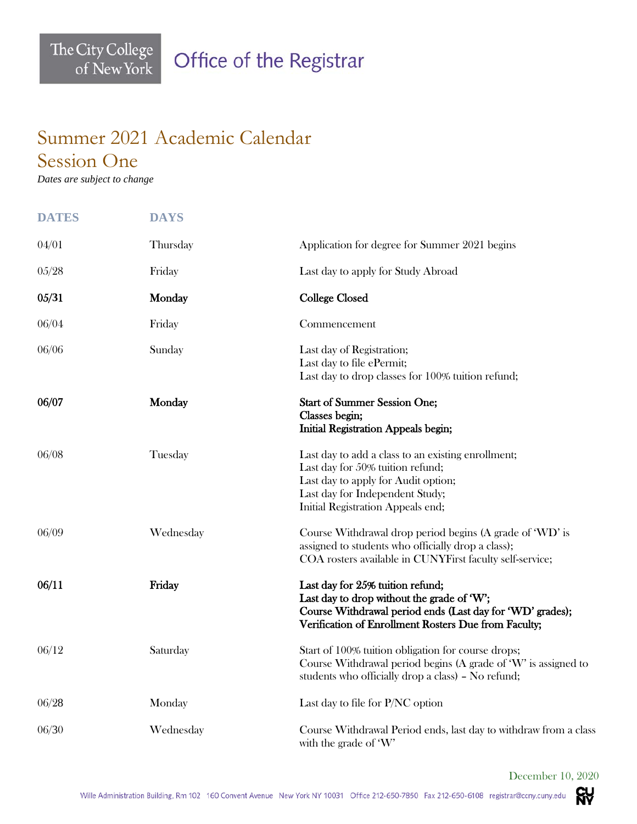## Summer 2021 Academic Calendar Session One

*Dates are subject to change*

The City College<br>of New York

| <b>DATES</b> | <b>DAYS</b> |                                                                                                                                                                                                       |
|--------------|-------------|-------------------------------------------------------------------------------------------------------------------------------------------------------------------------------------------------------|
| 04/01        | Thursday    | Application for degree for Summer 2021 begins                                                                                                                                                         |
| 05/28        | Friday      | Last day to apply for Study Abroad                                                                                                                                                                    |
| 05/31        | Monday      | <b>College Closed</b>                                                                                                                                                                                 |
| 06/04        | Friday      | Commencement                                                                                                                                                                                          |
| 06/06        | Sunday      | Last day of Registration;<br>Last day to file ePermit;<br>Last day to drop classes for 100% tuition refund;                                                                                           |
| 06/07        | Monday      | <b>Start of Summer Session One;</b><br>Classes begin;<br><b>Initial Registration Appeals begin;</b>                                                                                                   |
| 06/08        | Tuesday     | Last day to add a class to an existing enrollment;<br>Last day for 50% tuition refund;<br>Last day to apply for Audit option;<br>Last day for Independent Study;<br>Initial Registration Appeals end; |
| 06/09        | Wednesday   | Course Withdrawal drop period begins (A grade of 'WD' is<br>assigned to students who officially drop a class);<br>COA rosters available in CUNYFirst faculty self-service;                            |
| 06/11        | Friday      | Last day for 25% tuition refund;<br>Last day to drop without the grade of 'W';<br>Course Withdrawal period ends (Last day for 'WD' grades);<br>Verification of Enrollment Rosters Due from Faculty;   |
| 06/12        | Saturday    | Start of 100% tuition obligation for course drops;<br>Course Withdrawal period begins (A grade of 'W' is assigned to<br>students who officially drop a class) - No refund;                            |
| 06/28        | Monday      | Last day to file for P/NC option                                                                                                                                                                      |
| 06/30        | Wednesday   | Course Withdrawal Period ends, last day to withdraw from a class<br>with the grade of 'W'                                                                                                             |

December 10, 2020